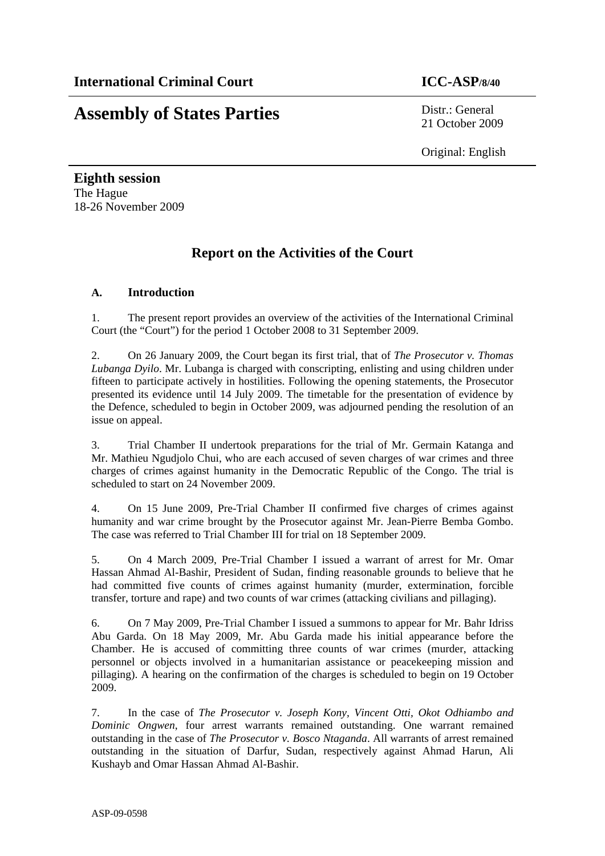# **Assembly of States Parties** Distr.: General

21 October 2009

Original: English

**Eighth session**  The Hague 18-26 November 2009

## **Report on the Activities of the Court**

## **A. Introduction**

1. The present report provides an overview of the activities of the International Criminal Court (the "Court") for the period 1 October 2008 to 31 September 2009.

2. On 26 January 2009, the Court began its first trial, that of *The Prosecutor v. Thomas Lubanga Dyilo*. Mr. Lubanga is charged with conscripting, enlisting and using children under fifteen to participate actively in hostilities. Following the opening statements, the Prosecutor presented its evidence until 14 July 2009. The timetable for the presentation of evidence by the Defence, scheduled to begin in October 2009, was adjourned pending the resolution of an issue on appeal.

3. Trial Chamber II undertook preparations for the trial of Mr. Germain Katanga and Mr. Mathieu Ngudjolo Chui, who are each accused of seven charges of war crimes and three charges of crimes against humanity in the Democratic Republic of the Congo. The trial is scheduled to start on 24 November 2009.

4. On 15 June 2009, Pre-Trial Chamber II confirmed five charges of crimes against humanity and war crime brought by the Prosecutor against Mr. Jean-Pierre Bemba Gombo. The case was referred to Trial Chamber III for trial on 18 September 2009.

5. On 4 March 2009, Pre-Trial Chamber I issued a warrant of arrest for Mr. Omar Hassan Ahmad Al-Bashir, President of Sudan, finding reasonable grounds to believe that he had committed five counts of crimes against humanity (murder, extermination, forcible transfer, torture and rape) and two counts of war crimes (attacking civilians and pillaging).

6. On 7 May 2009, Pre-Trial Chamber I issued a summons to appear for Mr. Bahr Idriss Abu Garda. On 18 May 2009, Mr. Abu Garda made his initial appearance before the Chamber. He is accused of committing three counts of war crimes (murder, attacking personnel or objects involved in a humanitarian assistance or peacekeeping mission and pillaging). A hearing on the confirmation of the charges is scheduled to begin on 19 October 2009.

7. In the case of *The Prosecutor v. Joseph Kony, Vincent Otti, Okot Odhiambo and Dominic Ongwen*, four arrest warrants remained outstanding. One warrant remained outstanding in the case of *The Prosecutor v. Bosco Ntaganda*. All warrants of arrest remained outstanding in the situation of Darfur, Sudan, respectively against Ahmad Harun, Ali Kushayb and Omar Hassan Ahmad Al-Bashir.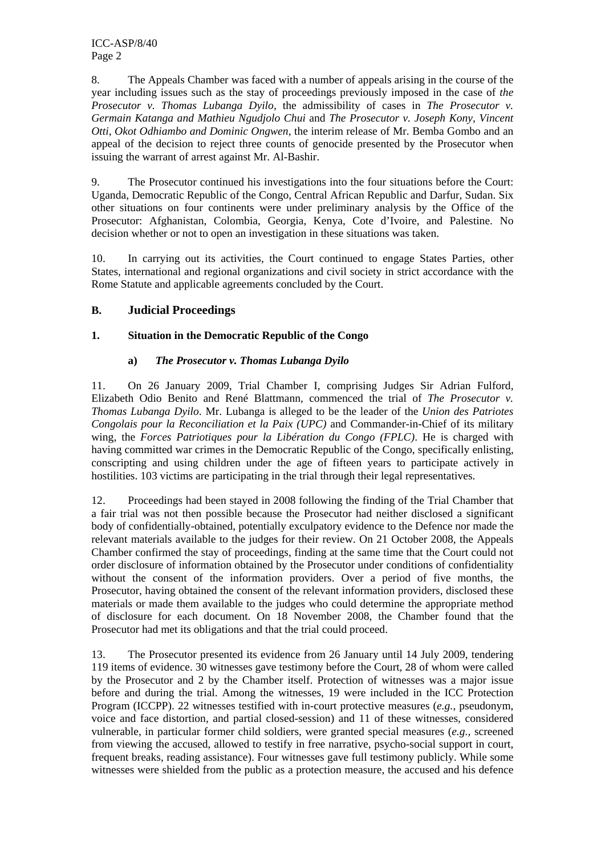8. The Appeals Chamber was faced with a number of appeals arising in the course of the year including issues such as the stay of proceedings previously imposed in the case of *the Prosecutor v. Thomas Lubanga Dyilo*, the admissibility of cases in *The Prosecutor v. Germain Katanga and Mathieu Ngudjolo Chui* and *The Prosecutor v. Joseph Kony, Vincent Otti, Okot Odhiambo and Dominic Ongwen*, the interim release of Mr. Bemba Gombo and an appeal of the decision to reject three counts of genocide presented by the Prosecutor when issuing the warrant of arrest against Mr. Al-Bashir.

9. The Prosecutor continued his investigations into the four situations before the Court: Uganda, Democratic Republic of the Congo, Central African Republic and Darfur, Sudan. Six other situations on four continents were under preliminary analysis by the Office of the Prosecutor: Afghanistan, Colombia, Georgia, Kenya, Cote d'Ivoire, and Palestine. No decision whether or not to open an investigation in these situations was taken.

10. In carrying out its activities, the Court continued to engage States Parties, other States, international and regional organizations and civil society in strict accordance with the Rome Statute and applicable agreements concluded by the Court.

## **B. Judicial Proceedings**

## **1. Situation in the Democratic Republic of the Congo**

## **a)** *The Prosecutor v. Thomas Lubanga Dyilo*

11. On 26 January 2009, Trial Chamber I, comprising Judges Sir Adrian Fulford, Elizabeth Odio Benito and René Blattmann, commenced the trial of *The Prosecutor v. Thomas Lubanga Dyilo*. Mr. Lubanga is alleged to be the leader of the *Union des Patriotes Congolais pour la Reconciliation et la Paix (UPC)* and Commander-in-Chief of its military wing, the *Forces Patriotiques pour la Libération du Congo (FPLC)*. He is charged with having committed war crimes in the Democratic Republic of the Congo, specifically enlisting, conscripting and using children under the age of fifteen years to participate actively in hostilities. 103 victims are participating in the trial through their legal representatives.

12. Proceedings had been stayed in 2008 following the finding of the Trial Chamber that a fair trial was not then possible because the Prosecutor had neither disclosed a significant body of confidentially-obtained, potentially exculpatory evidence to the Defence nor made the relevant materials available to the judges for their review. On 21 October 2008, the Appeals Chamber confirmed the stay of proceedings, finding at the same time that the Court could not order disclosure of information obtained by the Prosecutor under conditions of confidentiality without the consent of the information providers. Over a period of five months, the Prosecutor, having obtained the consent of the relevant information providers, disclosed these materials or made them available to the judges who could determine the appropriate method of disclosure for each document. On 18 November 2008, the Chamber found that the Prosecutor had met its obligations and that the trial could proceed.

13. The Prosecutor presented its evidence from 26 January until 14 July 2009, tendering 119 items of evidence. 30 witnesses gave testimony before the Court, 28 of whom were called by the Prosecutor and 2 by the Chamber itself. Protection of witnesses was a major issue before and during the trial. Among the witnesses, 19 were included in the ICC Protection Program (ICCPP). 22 witnesses testified with in-court protective measures (*e.g.*, pseudonym, voice and face distortion, and partial closed-session) and 11 of these witnesses, considered vulnerable, in particular former child soldiers, were granted special measures (*e.g.,* screened from viewing the accused, allowed to testify in free narrative, psycho-social support in court, frequent breaks, reading assistance). Four witnesses gave full testimony publicly. While some witnesses were shielded from the public as a protection measure, the accused and his defence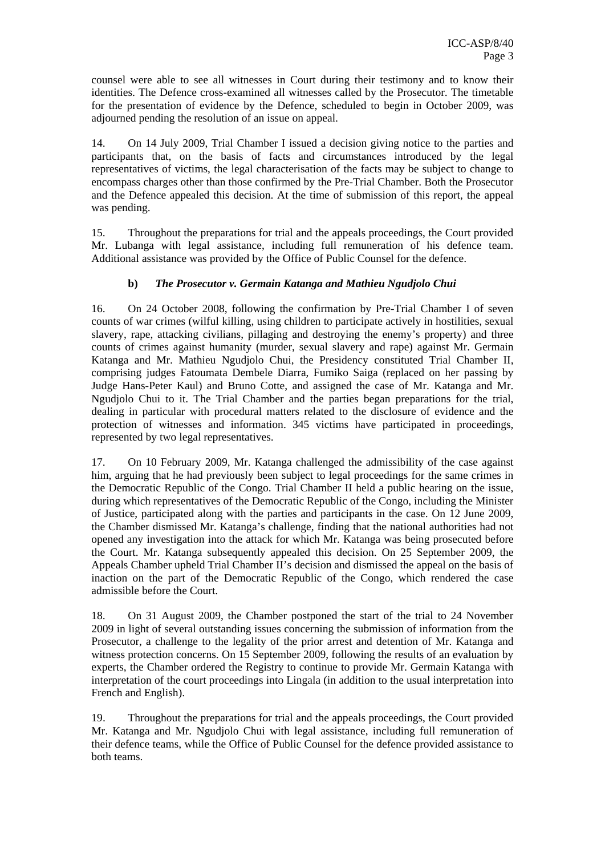counsel were able to see all witnesses in Court during their testimony and to know their identities. The Defence cross-examined all witnesses called by the Prosecutor. The timetable for the presentation of evidence by the Defence, scheduled to begin in October 2009, was adjourned pending the resolution of an issue on appeal.

14. On 14 July 2009, Trial Chamber I issued a decision giving notice to the parties and participants that, on the basis of facts and circumstances introduced by the legal representatives of victims, the legal characterisation of the facts may be subject to change to encompass charges other than those confirmed by the Pre-Trial Chamber. Both the Prosecutor and the Defence appealed this decision. At the time of submission of this report, the appeal was pending.

15. Throughout the preparations for trial and the appeals proceedings, the Court provided Mr. Lubanga with legal assistance, including full remuneration of his defence team. Additional assistance was provided by the Office of Public Counsel for the defence.

## **b)** *The Prosecutor v. Germain Katanga and Mathieu Ngudjolo Chui*

16. On 24 October 2008, following the confirmation by Pre-Trial Chamber I of seven counts of war crimes (wilful killing, using children to participate actively in hostilities, sexual slavery, rape, attacking civilians, pillaging and destroying the enemy's property) and three counts of crimes against humanity (murder, sexual slavery and rape) against Mr. Germain Katanga and Mr. Mathieu Ngudjolo Chui, the Presidency constituted Trial Chamber II, comprising judges Fatoumata Dembele Diarra, Fumiko Saiga (replaced on her passing by Judge Hans-Peter Kaul) and Bruno Cotte, and assigned the case of Mr. Katanga and Mr. Ngudjolo Chui to it. The Trial Chamber and the parties began preparations for the trial, dealing in particular with procedural matters related to the disclosure of evidence and the protection of witnesses and information. 345 victims have participated in proceedings, represented by two legal representatives.

17. On 10 February 2009, Mr. Katanga challenged the admissibility of the case against him, arguing that he had previously been subject to legal proceedings for the same crimes in the Democratic Republic of the Congo. Trial Chamber II held a public hearing on the issue, during which representatives of the Democratic Republic of the Congo, including the Minister of Justice, participated along with the parties and participants in the case. On 12 June 2009, the Chamber dismissed Mr. Katanga's challenge, finding that the national authorities had not opened any investigation into the attack for which Mr. Katanga was being prosecuted before the Court. Mr. Katanga subsequently appealed this decision. On 25 September 2009, the Appeals Chamber upheld Trial Chamber II's decision and dismissed the appeal on the basis of inaction on the part of the Democratic Republic of the Congo, which rendered the case admissible before the Court.

18. On 31 August 2009, the Chamber postponed the start of the trial to 24 November 2009 in light of several outstanding issues concerning the submission of information from the Prosecutor, a challenge to the legality of the prior arrest and detention of Mr. Katanga and witness protection concerns. On 15 September 2009, following the results of an evaluation by experts, the Chamber ordered the Registry to continue to provide Mr. Germain Katanga with interpretation of the court proceedings into Lingala (in addition to the usual interpretation into French and English).

19. Throughout the preparations for trial and the appeals proceedings, the Court provided Mr. Katanga and Mr. Ngudjolo Chui with legal assistance, including full remuneration of their defence teams, while the Office of Public Counsel for the defence provided assistance to both teams.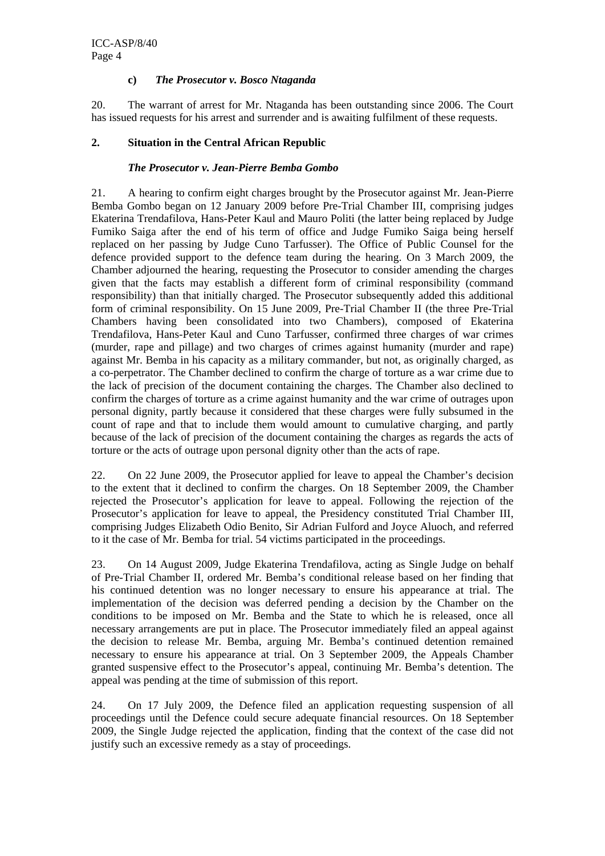#### **c)** *The Prosecutor v. Bosco Ntaganda*

20. The warrant of arrest for Mr. Ntaganda has been outstanding since 2006. The Court has issued requests for his arrest and surrender and is awaiting fulfilment of these requests.

#### **2. Situation in the Central African Republic**

#### *The Prosecutor v. Jean-Pierre Bemba Gombo*

21. A hearing to confirm eight charges brought by the Prosecutor against Mr. Jean-Pierre Bemba Gombo began on 12 January 2009 before Pre-Trial Chamber III, comprising judges Ekaterina Trendafilova, Hans-Peter Kaul and Mauro Politi (the latter being replaced by Judge Fumiko Saiga after the end of his term of office and Judge Fumiko Saiga being herself replaced on her passing by Judge Cuno Tarfusser). The Office of Public Counsel for the defence provided support to the defence team during the hearing. On 3 March 2009, the Chamber adjourned the hearing, requesting the Prosecutor to consider amending the charges given that the facts may establish a different form of criminal responsibility (command responsibility) than that initially charged. The Prosecutor subsequently added this additional form of criminal responsibility. On 15 June 2009, Pre-Trial Chamber II (the three Pre-Trial Chambers having been consolidated into two Chambers), composed of Ekaterina Trendafilova, Hans-Peter Kaul and Cuno Tarfusser, confirmed three charges of war crimes (murder, rape and pillage) and two charges of crimes against humanity (murder and rape) against Mr. Bemba in his capacity as a military commander, but not, as originally charged, as a co-perpetrator. The Chamber declined to confirm the charge of torture as a war crime due to the lack of precision of the document containing the charges. The Chamber also declined to confirm the charges of torture as a crime against humanity and the war crime of outrages upon personal dignity, partly because it considered that these charges were fully subsumed in the count of rape and that to include them would amount to cumulative charging, and partly because of the lack of precision of the document containing the charges as regards the acts of torture or the acts of outrage upon personal dignity other than the acts of rape.

22. On 22 June 2009, the Prosecutor applied for leave to appeal the Chamber's decision to the extent that it declined to confirm the charges. On 18 September 2009, the Chamber rejected the Prosecutor's application for leave to appeal. Following the rejection of the Prosecutor's application for leave to appeal, the Presidency constituted Trial Chamber III, comprising Judges Elizabeth Odio Benito, Sir Adrian Fulford and Joyce Aluoch, and referred to it the case of Mr. Bemba for trial. 54 victims participated in the proceedings.

23. On 14 August 2009, Judge Ekaterina Trendafilova, acting as Single Judge on behalf of Pre-Trial Chamber II, ordered Mr. Bemba's conditional release based on her finding that his continued detention was no longer necessary to ensure his appearance at trial. The implementation of the decision was deferred pending a decision by the Chamber on the conditions to be imposed on Mr. Bemba and the State to which he is released, once all necessary arrangements are put in place. The Prosecutor immediately filed an appeal against the decision to release Mr. Bemba, arguing Mr. Bemba's continued detention remained necessary to ensure his appearance at trial. On 3 September 2009, the Appeals Chamber granted suspensive effect to the Prosecutor's appeal, continuing Mr. Bemba's detention. The appeal was pending at the time of submission of this report.

24. On 17 July 2009, the Defence filed an application requesting suspension of all proceedings until the Defence could secure adequate financial resources. On 18 September 2009, the Single Judge rejected the application, finding that the context of the case did not justify such an excessive remedy as a stay of proceedings.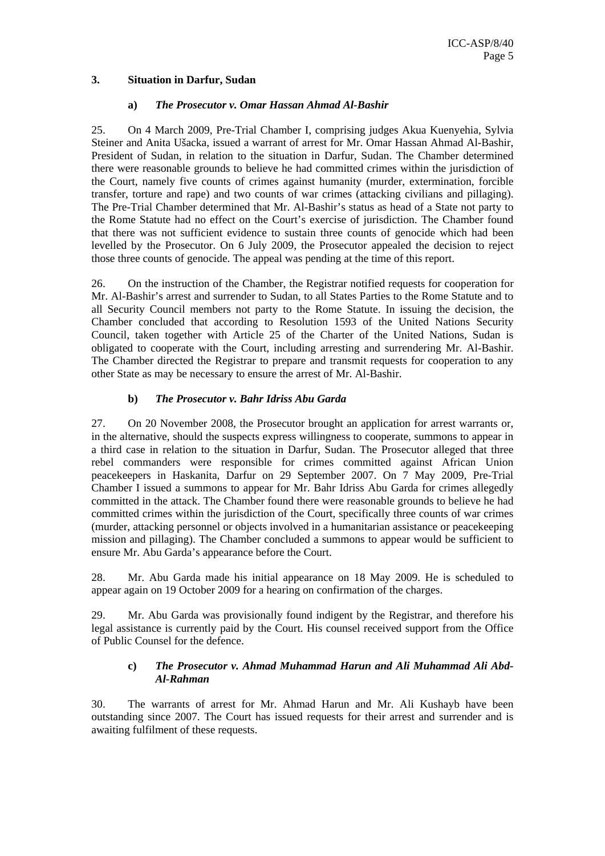#### **3. Situation in Darfur, Sudan**

#### **a)** *The Prosecutor v. Omar Hassan Ahmad Al-Bashir*

25. On 4 March 2009, Pre-Trial Chamber I, comprising judges Akua Kuenyehia, Sylvia Steiner and Anita Ušacka, issued a warrant of arrest for Mr. Omar Hassan Ahmad Al-Bashir, President of Sudan, in relation to the situation in Darfur, Sudan. The Chamber determined there were reasonable grounds to believe he had committed crimes within the jurisdiction of the Court, namely five counts of crimes against humanity (murder, extermination, forcible transfer, torture and rape) and two counts of war crimes (attacking civilians and pillaging). The Pre-Trial Chamber determined that Mr. Al-Bashir's status as head of a State not party to the Rome Statute had no effect on the Court's exercise of jurisdiction. The Chamber found that there was not sufficient evidence to sustain three counts of genocide which had been levelled by the Prosecutor. On 6 July 2009, the Prosecutor appealed the decision to reject those three counts of genocide. The appeal was pending at the time of this report.

26. On the instruction of the Chamber, the Registrar notified requests for cooperation for Mr. Al-Bashir's arrest and surrender to Sudan, to all States Parties to the Rome Statute and to all Security Council members not party to the Rome Statute. In issuing the decision, the Chamber concluded that according to Resolution 1593 of the United Nations Security Council, taken together with Article 25 of the Charter of the United Nations, Sudan is obligated to cooperate with the Court, including arresting and surrendering Mr. Al-Bashir. The Chamber directed the Registrar to prepare and transmit requests for cooperation to any other State as may be necessary to ensure the arrest of Mr. Al-Bashir.

#### **b)** *The Prosecutor v. Bahr Idriss Abu Garda*

27. On 20 November 2008, the Prosecutor brought an application for arrest warrants or, in the alternative, should the suspects express willingness to cooperate, summons to appear in a third case in relation to the situation in Darfur, Sudan. The Prosecutor alleged that three rebel commanders were responsible for crimes committed against African Union peacekeepers in Haskanita, Darfur on 29 September 2007. On 7 May 2009, Pre-Trial Chamber I issued a summons to appear for Mr. Bahr Idriss Abu Garda for crimes allegedly committed in the attack. The Chamber found there were reasonable grounds to believe he had committed crimes within the jurisdiction of the Court, specifically three counts of war crimes (murder, attacking personnel or objects involved in a humanitarian assistance or peacekeeping mission and pillaging). The Chamber concluded a summons to appear would be sufficient to ensure Mr. Abu Garda's appearance before the Court.

28. Mr. Abu Garda made his initial appearance on 18 May 2009. He is scheduled to appear again on 19 October 2009 for a hearing on confirmation of the charges.

29. Mr. Abu Garda was provisionally found indigent by the Registrar, and therefore his legal assistance is currently paid by the Court. His counsel received support from the Office of Public Counsel for the defence.

#### **c)** *The Prosecutor v. Ahmad Muhammad Harun and Ali Muhammad Ali Abd-Al-Rahman*

30. The warrants of arrest for Mr. Ahmad Harun and Mr. Ali Kushayb have been outstanding since 2007. The Court has issued requests for their arrest and surrender and is awaiting fulfilment of these requests.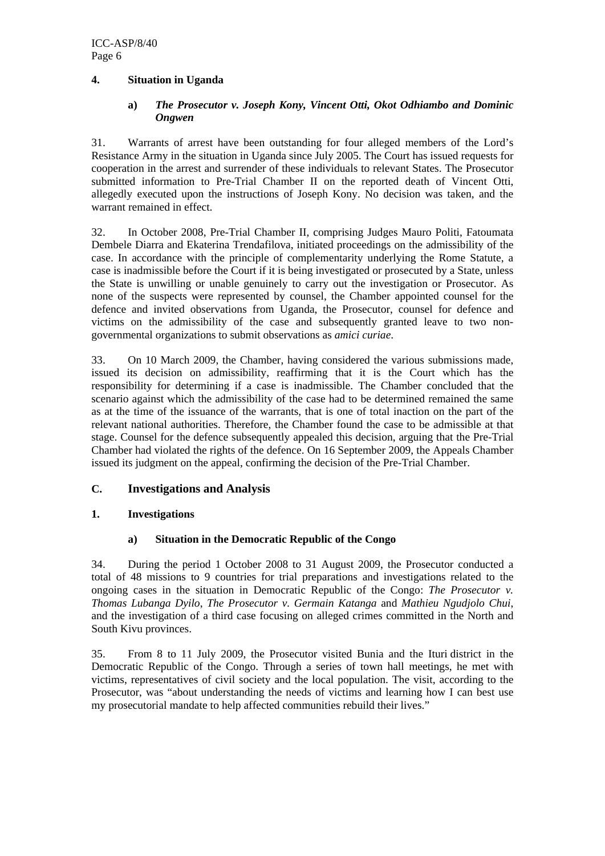#### **4. Situation in Uganda**

#### **a)** *The Prosecutor v. Joseph Kony, Vincent Otti, Okot Odhiambo and Dominic Ongwen*

31. Warrants of arrest have been outstanding for four alleged members of the Lord's Resistance Army in the situation in Uganda since July 2005. The Court has issued requests for cooperation in the arrest and surrender of these individuals to relevant States. The Prosecutor submitted information to Pre-Trial Chamber II on the reported death of Vincent Otti, allegedly executed upon the instructions of Joseph Kony. No decision was taken, and the warrant remained in effect.

32. In October 2008, Pre-Trial Chamber II, comprising Judges Mauro Politi, Fatoumata Dembele Diarra and Ekaterina Trendafilova, initiated proceedings on the admissibility of the case. In accordance with the principle of complementarity underlying the Rome Statute, a case is inadmissible before the Court if it is being investigated or prosecuted by a State, unless the State is unwilling or unable genuinely to carry out the investigation or Prosecutor. As none of the suspects were represented by counsel, the Chamber appointed counsel for the defence and invited observations from Uganda, the Prosecutor, counsel for defence and victims on the admissibility of the case and subsequently granted leave to two nongovernmental organizations to submit observations as *amici curiae*.

33. On 10 March 2009, the Chamber, having considered the various submissions made, issued its decision on admissibility, reaffirming that it is the Court which has the responsibility for determining if a case is inadmissible. The Chamber concluded that the scenario against which the admissibility of the case had to be determined remained the same as at the time of the issuance of the warrants, that is one of total inaction on the part of the relevant national authorities. Therefore, the Chamber found the case to be admissible at that stage. Counsel for the defence subsequently appealed this decision, arguing that the Pre-Trial Chamber had violated the rights of the defence. On 16 September 2009, the Appeals Chamber issued its judgment on the appeal, confirming the decision of the Pre-Trial Chamber.

## **C. Investigations and Analysis**

## **1. Investigations**

## **a) Situation in the Democratic Republic of the Congo**

34. During the period 1 October 2008 to 31 August 2009, the Prosecutor conducted a total of 48 missions to 9 countries for trial preparations and investigations related to the ongoing cases in the situation in Democratic Republic of the Congo: *The Prosecutor v. Thomas Lubanga Dyilo*, *The Prosecutor v. Germain Katanga* and *Mathieu Ngudjolo Chui*, and the investigation of a third case focusing on alleged crimes committed in the North and South Kivu provinces.

35. From 8 to 11 July 2009, the Prosecutor visited Bunia and the Ituri district in the Democratic Republic of the Congo. Through a series of town hall meetings, he met with victims, representatives of civil society and the local population. The visit, according to the Prosecutor, was "about understanding the needs of victims and learning how I can best use my prosecutorial mandate to help affected communities rebuild their lives."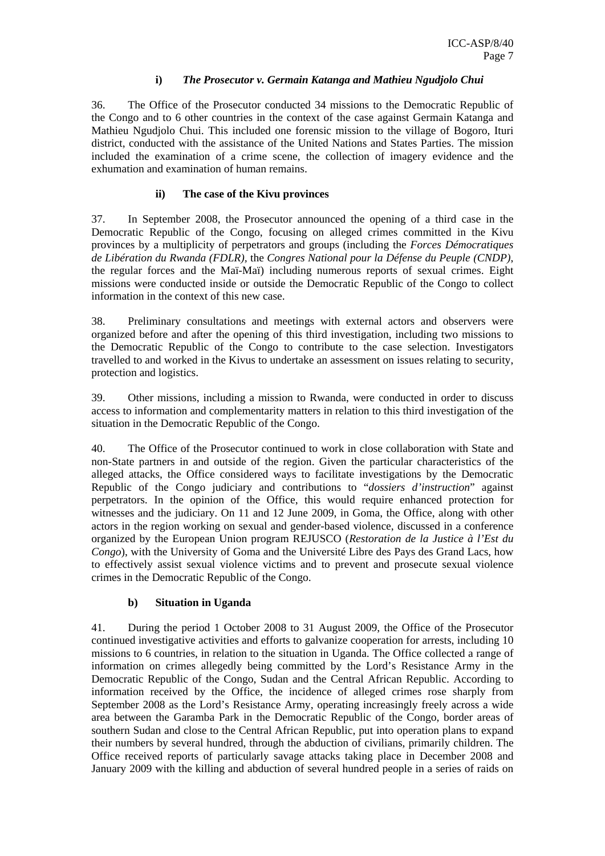#### **i)** *The Prosecutor v. Germain Katanga and Mathieu Ngudjolo Chui*

36. The Office of the Prosecutor conducted 34 missions to the Democratic Republic of the Congo and to 6 other countries in the context of the case against Germain Katanga and Mathieu Ngudjolo Chui. This included one forensic mission to the village of Bogoro, Ituri district, conducted with the assistance of the United Nations and States Parties. The mission included the examination of a crime scene, the collection of imagery evidence and the exhumation and examination of human remains.

## **ii) The case of the Kivu provinces**

37. In September 2008, the Prosecutor announced the opening of a third case in the Democratic Republic of the Congo, focusing on alleged crimes committed in the Kivu provinces by a multiplicity of perpetrators and groups (including the *Forces Démocratiques de Libération du Rwanda (FDLR),* the *Congres National pour la Défense du Peuple (CNDP)*, the regular forces and the Maï-Maï) including numerous reports of sexual crimes. Eight missions were conducted inside or outside the Democratic Republic of the Congo to collect information in the context of this new case.

38. Preliminary consultations and meetings with external actors and observers were organized before and after the opening of this third investigation, including two missions to the Democratic Republic of the Congo to contribute to the case selection. Investigators travelled to and worked in the Kivus to undertake an assessment on issues relating to security, protection and logistics.

39. Other missions, including a mission to Rwanda, were conducted in order to discuss access to information and complementarity matters in relation to this third investigation of the situation in the Democratic Republic of the Congo.

40. The Office of the Prosecutor continued to work in close collaboration with State and non-State partners in and outside of the region. Given the particular characteristics of the alleged attacks, the Office considered ways to facilitate investigations by the Democratic Republic of the Congo judiciary and contributions to "*dossiers d'instruction*" against perpetrators. In the opinion of the Office, this would require enhanced protection for witnesses and the judiciary. On 11 and 12 June 2009, in Goma, the Office, along with other actors in the region working on sexual and gender-based violence, discussed in a conference organized by the European Union program REJUSCO (*Restoration de la Justice à l'Est du Congo*), with the University of Goma and the Université Libre des Pays des Grand Lacs, how to effectively assist sexual violence victims and to prevent and prosecute sexual violence crimes in the Democratic Republic of the Congo.

#### **b) Situation in Uganda**

41. During the period 1 October 2008 to 31 August 2009, the Office of the Prosecutor continued investigative activities and efforts to galvanize cooperation for arrests, including 10 missions to 6 countries, in relation to the situation in Uganda. The Office collected a range of information on crimes allegedly being committed by the Lord's Resistance Army in the Democratic Republic of the Congo, Sudan and the Central African Republic. According to information received by the Office, the incidence of alleged crimes rose sharply from September 2008 as the Lord's Resistance Army, operating increasingly freely across a wide area between the Garamba Park in the Democratic Republic of the Congo, border areas of southern Sudan and close to the Central African Republic, put into operation plans to expand their numbers by several hundred, through the abduction of civilians, primarily children. The Office received reports of particularly savage attacks taking place in December 2008 and January 2009 with the killing and abduction of several hundred people in a series of raids on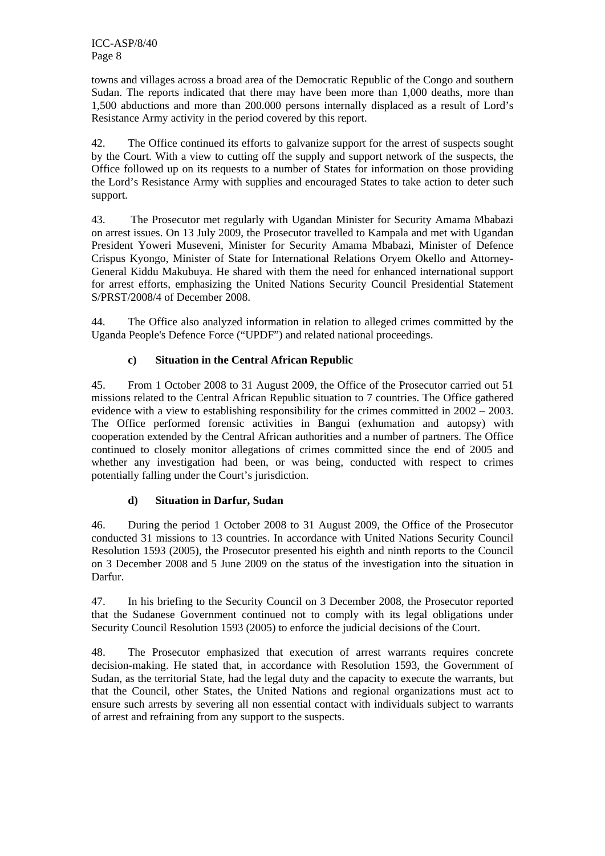towns and villages across a broad area of the Democratic Republic of the Congo and southern Sudan. The reports indicated that there may have been more than 1,000 deaths, more than 1,500 abductions and more than 200.000 persons internally displaced as a result of Lord's Resistance Army activity in the period covered by this report.

42. The Office continued its efforts to galvanize support for the arrest of suspects sought by the Court. With a view to cutting off the supply and support network of the suspects, the Office followed up on its requests to a number of States for information on those providing the Lord's Resistance Army with supplies and encouraged States to take action to deter such support.

43. The Prosecutor met regularly with Ugandan Minister for Security Amama Mbabazi on arrest issues. On 13 July 2009, the Prosecutor travelled to Kampala and met with Ugandan President Yoweri Museveni, Minister for Security Amama Mbabazi, Minister of Defence Crispus Kyongo, Minister of State for International Relations Oryem Okello and Attorney-General Kiddu Makubuya. He shared with them the need for enhanced international support for arrest efforts, emphasizing the United Nations Security Council Presidential Statement S/PRST/2008/4 of December 2008.

44. The Office also analyzed information in relation to alleged crimes committed by the Uganda People's Defence Force ("UPDF") and related national proceedings.

## **c) Situation in the Central African Republic**

45. From 1 October 2008 to 31 August 2009, the Office of the Prosecutor carried out 51 missions related to the Central African Republic situation to 7 countries. The Office gathered evidence with a view to establishing responsibility for the crimes committed in 2002 – 2003. The Office performed forensic activities in Bangui (exhumation and autopsy) with cooperation extended by the Central African authorities and a number of partners. The Office continued to closely monitor allegations of crimes committed since the end of 2005 and whether any investigation had been, or was being, conducted with respect to crimes potentially falling under the Court's jurisdiction.

## **d) Situation in Darfur, Sudan**

46. During the period 1 October 2008 to 31 August 2009, the Office of the Prosecutor conducted 31 missions to 13 countries. In accordance with United Nations Security Council Resolution 1593 (2005), the Prosecutor presented his eighth and ninth reports to the Council on 3 December 2008 and 5 June 2009 on the status of the investigation into the situation in Darfur.

47. In his briefing to the Security Council on 3 December 2008, the Prosecutor reported that the Sudanese Government continued not to comply with its legal obligations under Security Council Resolution 1593 (2005) to enforce the judicial decisions of the Court.

48. The Prosecutor emphasized that execution of arrest warrants requires concrete decision-making. He stated that, in accordance with Resolution 1593, the Government of Sudan, as the territorial State, had the legal duty and the capacity to execute the warrants, but that the Council, other States, the United Nations and regional organizations must act to ensure such arrests by severing all non essential contact with individuals subject to warrants of arrest and refraining from any support to the suspects.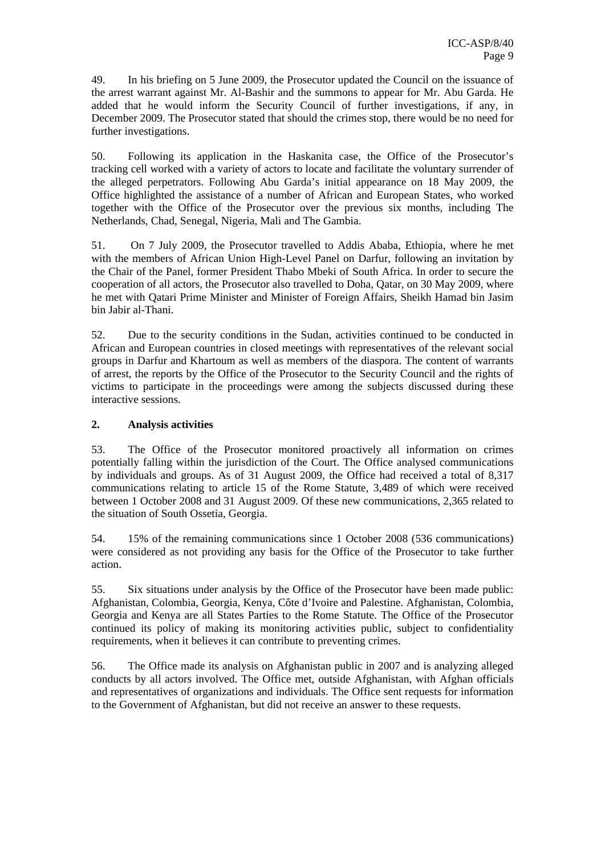49. In his briefing on 5 June 2009, the Prosecutor updated the Council on the issuance of the arrest warrant against Mr. Al-Bashir and the summons to appear for Mr. Abu Garda. He added that he would inform the Security Council of further investigations, if any, in December 2009. The Prosecutor stated that should the crimes stop, there would be no need for further investigations.

50. Following its application in the Haskanita case, the Office of the Prosecutor's tracking cell worked with a variety of actors to locate and facilitate the voluntary surrender of the alleged perpetrators. Following Abu Garda's initial appearance on 18 May 2009, the Office highlighted the assistance of a number of African and European States, who worked together with the Office of the Prosecutor over the previous six months, including The Netherlands, Chad, Senegal, Nigeria, Mali and The Gambia.

51. On 7 July 2009, the Prosecutor travelled to Addis Ababa, Ethiopia, where he met with the members of African Union High-Level Panel on Darfur, following an invitation by the Chair of the Panel, former President Thabo Mbeki of South Africa. In order to secure the cooperation of all actors, the Prosecutor also travelled to Doha, Qatar, on 30 May 2009, where he met with Qatari Prime Minister and Minister of Foreign Affairs, Sheikh Hamad bin Jasim bin Jabir al-Thani.

52. Due to the security conditions in the Sudan, activities continued to be conducted in African and European countries in closed meetings with representatives of the relevant social groups in Darfur and Khartoum as well as members of the diaspora. The content of warrants of arrest, the reports by the Office of the Prosecutor to the Security Council and the rights of victims to participate in the proceedings were among the subjects discussed during these interactive sessions.

## **2. Analysis activities**

53. The Office of the Prosecutor monitored proactively all information on crimes potentially falling within the jurisdiction of the Court. The Office analysed communications by individuals and groups. As of 31 August 2009, the Office had received a total of 8,317 communications relating to article 15 of the Rome Statute, 3,489 of which were received between 1 October 2008 and 31 August 2009. Of these new communications, 2,365 related to the situation of South Ossetia, Georgia.

54. 15% of the remaining communications since 1 October 2008 (536 communications) were considered as not providing any basis for the Office of the Prosecutor to take further action.

55. Six situations under analysis by the Office of the Prosecutor have been made public: Afghanistan, Colombia, Georgia, Kenya, Côte d'Ivoire and Palestine. Afghanistan, Colombia, Georgia and Kenya are all States Parties to the Rome Statute. The Office of the Prosecutor continued its policy of making its monitoring activities public, subject to confidentiality requirements, when it believes it can contribute to preventing crimes.

56. The Office made its analysis on Afghanistan public in 2007 and is analyzing alleged conducts by all actors involved. The Office met, outside Afghanistan, with Afghan officials and representatives of organizations and individuals. The Office sent requests for information to the Government of Afghanistan, but did not receive an answer to these requests.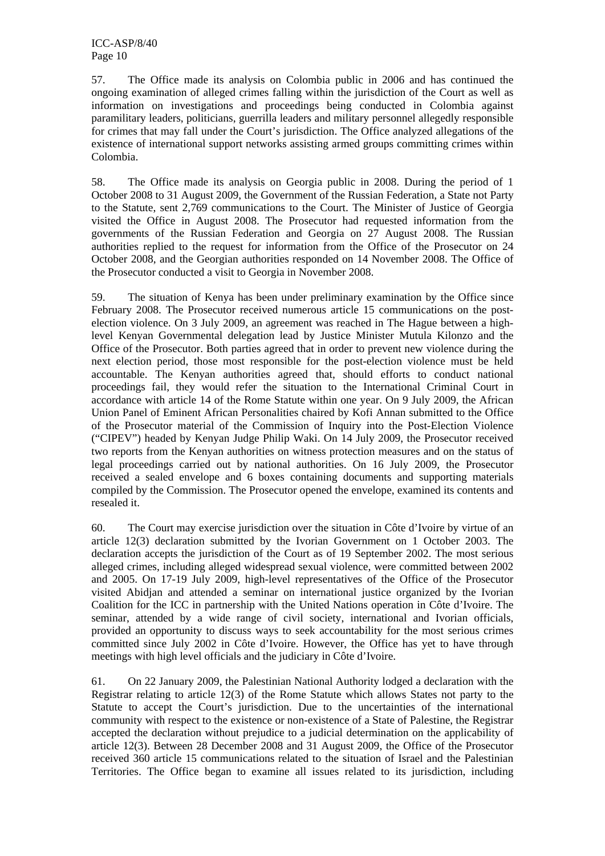57. The Office made its analysis on Colombia public in 2006 and has continued the ongoing examination of alleged crimes falling within the jurisdiction of the Court as well as information on investigations and proceedings being conducted in Colombia against paramilitary leaders, politicians, guerrilla leaders and military personnel allegedly responsible for crimes that may fall under the Court's jurisdiction. The Office analyzed allegations of the existence of international support networks assisting armed groups committing crimes within Colombia.

58. The Office made its analysis on Georgia public in 2008. During the period of 1 October 2008 to 31 August 2009, the Government of the Russian Federation, a State not Party to the Statute, sent 2,769 communications to the Court. The Minister of Justice of Georgia visited the Office in August 2008. The Prosecutor had requested information from the governments of the Russian Federation and Georgia on 27 August 2008. The Russian authorities replied to the request for information from the Office of the Prosecutor on 24 October 2008, and the Georgian authorities responded on 14 November 2008. The Office of the Prosecutor conducted a visit to Georgia in November 2008.

59. The situation of Kenya has been under preliminary examination by the Office since February 2008. The Prosecutor received numerous article 15 communications on the postelection violence. On 3 July 2009, an agreement was reached in The Hague between a highlevel Kenyan Governmental delegation lead by Justice Minister Mutula Kilonzo and the Office of the Prosecutor. Both parties agreed that in order to prevent new violence during the next election period, those most responsible for the post-election violence must be held accountable. The Kenyan authorities agreed that, should efforts to conduct national proceedings fail, they would refer the situation to the International Criminal Court in accordance with article 14 of the Rome Statute within one year. On 9 July 2009, the African Union Panel of Eminent African Personalities chaired by Kofi Annan submitted to the Office of the Prosecutor material of the Commission of Inquiry into the Post-Election Violence ("CIPEV") headed by Kenyan Judge Philip Waki. On 14 July 2009, the Prosecutor received two reports from the Kenyan authorities on witness protection measures and on the status of legal proceedings carried out by national authorities. On 16 July 2009, the Prosecutor received a sealed envelope and 6 boxes containing documents and supporting materials compiled by the Commission. The Prosecutor opened the envelope, examined its contents and resealed it.

60. The Court may exercise jurisdiction over the situation in Côte d'Ivoire by virtue of an article 12(3) declaration submitted by the Ivorian Government on 1 October 2003. The declaration accepts the jurisdiction of the Court as of 19 September 2002. The most serious alleged crimes, including alleged widespread sexual violence, were committed between 2002 and 2005. On 17-19 July 2009, high-level representatives of the Office of the Prosecutor visited Abidjan and attended a seminar on international justice organized by the Ivorian Coalition for the ICC in partnership with the United Nations operation in Côte d'Ivoire. The seminar, attended by a wide range of civil society, international and Ivorian officials, provided an opportunity to discuss ways to seek accountability for the most serious crimes committed since July 2002 in Côte d'Ivoire. However, the Office has yet to have through meetings with high level officials and the judiciary in Côte d'Ivoire.

61. On 22 January 2009, the Palestinian National Authority lodged a declaration with the Registrar relating to article 12(3) of the Rome Statute which allows States not party to the Statute to accept the Court's jurisdiction. Due to the uncertainties of the international community with respect to the existence or non-existence of a State of Palestine, the Registrar accepted the declaration without prejudice to a judicial determination on the applicability of article 12(3). Between 28 December 2008 and 31 August 2009, the Office of the Prosecutor received 360 article 15 communications related to the situation of Israel and the Palestinian Territories. The Office began to examine all issues related to its jurisdiction, including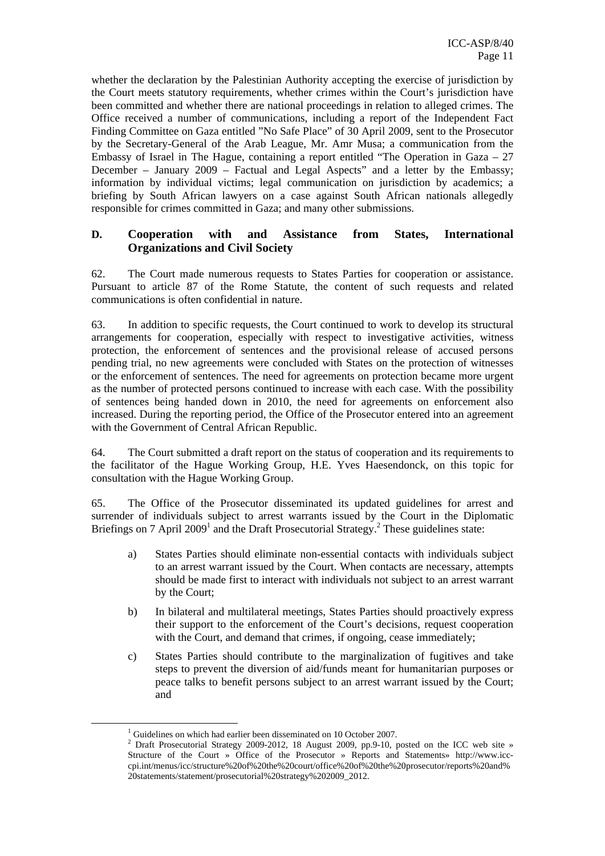whether the declaration by the Palestinian Authority accepting the exercise of jurisdiction by the Court meets statutory requirements, whether crimes within the Court's jurisdiction have been committed and whether there are national proceedings in relation to alleged crimes. The Office received a number of communications, including a report of the Independent Fact Finding Committee on Gaza entitled "No Safe Place" of 30 April 2009, sent to the Prosecutor by the Secretary-General of the Arab League, Mr. Amr Musa; a communication from the Embassy of Israel in The Hague, containing a report entitled "The Operation in Gaza  $-27$ December – January 2009 – Factual and Legal Aspects" and a letter by the Embassy; information by individual victims; legal communication on jurisdiction by academics; a briefing by South African lawyers on a case against South African nationals allegedly responsible for crimes committed in Gaza; and many other submissions.

## **D. Cooperation with and Assistance from States, International Organizations and Civil Society**

62. The Court made numerous requests to States Parties for cooperation or assistance. Pursuant to article 87 of the Rome Statute, the content of such requests and related communications is often confidential in nature.

63. In addition to specific requests, the Court continued to work to develop its structural arrangements for cooperation, especially with respect to investigative activities, witness protection, the enforcement of sentences and the provisional release of accused persons pending trial, no new agreements were concluded with States on the protection of witnesses or the enforcement of sentences. The need for agreements on protection became more urgent as the number of protected persons continued to increase with each case. With the possibility of sentences being handed down in 2010, the need for agreements on enforcement also increased. During the reporting period, the Office of the Prosecutor entered into an agreement with the Government of Central African Republic.

64. The Court submitted a draft report on the status of cooperation and its requirements to the facilitator of the Hague Working Group, H.E. Yves Haesendonck, on this topic for consultation with the Hague Working Group.

65. The Office of the Prosecutor disseminated its updated guidelines for arrest and surrender of individuals subject to arrest warrants issued by the Court in the Diplomatic Briefings on 7 April 2009<sup>1</sup> and the Draft Prosecutorial Strategy.<sup>2</sup> These guidelines state:

- a) States Parties should eliminate non-essential contacts with individuals subject to an arrest warrant issued by the Court. When contacts are necessary, attempts should be made first to interact with individuals not subject to an arrest warrant by the Court;
- b) In bilateral and multilateral meetings, States Parties should proactively express their support to the enforcement of the Court's decisions, request cooperation with the Court, and demand that crimes, if ongoing, cease immediately;
- c) States Parties should contribute to the marginalization of fugitives and take steps to prevent the diversion of aid/funds meant for humanitarian purposes or peace talks to benefit persons subject to an arrest warrant issued by the Court; and

 <sup>1</sup> Guidelines on which had earlier been disseminated on 10 October 2007.

<sup>&</sup>lt;sup>2</sup> Draft Prosecutorial Strategy 2009-2012, 18 August 2009, pp.9-10, posted on the ICC web site » Structure of the Court » Office of the Prosecutor » Reports and Statements» http://www.icccpi.int/menus/icc/structure%20of%20the%20court/office%20of%20the%20prosecutor/reports%20and% 20statements/statement/prosecutorial%20strategy%202009\_2012.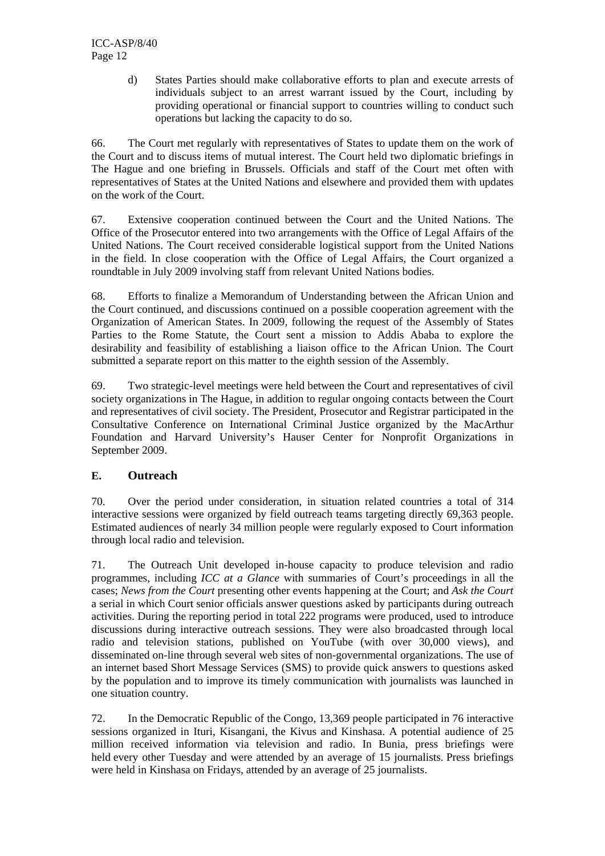d) States Parties should make collaborative efforts to plan and execute arrests of individuals subject to an arrest warrant issued by the Court, including by providing operational or financial support to countries willing to conduct such operations but lacking the capacity to do so.

66. The Court met regularly with representatives of States to update them on the work of the Court and to discuss items of mutual interest. The Court held two diplomatic briefings in The Hague and one briefing in Brussels. Officials and staff of the Court met often with representatives of States at the United Nations and elsewhere and provided them with updates on the work of the Court.

67. Extensive cooperation continued between the Court and the United Nations. The Office of the Prosecutor entered into two arrangements with the Office of Legal Affairs of the United Nations. The Court received considerable logistical support from the United Nations in the field. In close cooperation with the Office of Legal Affairs, the Court organized a roundtable in July 2009 involving staff from relevant United Nations bodies.

68. Efforts to finalize a Memorandum of Understanding between the African Union and the Court continued, and discussions continued on a possible cooperation agreement with the Organization of American States. In 2009, following the request of the Assembly of States Parties to the Rome Statute, the Court sent a mission to Addis Ababa to explore the desirability and feasibility of establishing a liaison office to the African Union. The Court submitted a separate report on this matter to the eighth session of the Assembly.

69. Two strategic-level meetings were held between the Court and representatives of civil society organizations in The Hague, in addition to regular ongoing contacts between the Court and representatives of civil society. The President, Prosecutor and Registrar participated in the Consultative Conference on International Criminal Justice organized by the MacArthur Foundation and Harvard University's Hauser Center for Nonprofit Organizations in September 2009.

## **E. Outreach**

70. Over the period under consideration, in situation related countries a total of 314 interactive sessions were organized by field outreach teams targeting directly 69,363 people. Estimated audiences of nearly 34 million people were regularly exposed to Court information through local radio and television.

71. The Outreach Unit developed in-house capacity to produce television and radio programmes, including *ICC at a Glance* with summaries of Court's proceedings in all the cases; *News from the Court* presenting other events happening at the Court; and *Ask the Court* a serial in which Court senior officials answer questions asked by participants during outreach activities. During the reporting period in total 222 programs were produced, used to introduce discussions during interactive outreach sessions. They were also broadcasted through local radio and television stations, published on YouTube (with over 30,000 views), and disseminated on-line through several web sites of non-governmental organizations. The use of an internet based Short Message Services (SMS) to provide quick answers to questions asked by the population and to improve its timely communication with journalists was launched in one situation country.

72. In the Democratic Republic of the Congo, 13,369 people participated in 76 interactive sessions organized in Ituri, Kisangani, the Kivus and Kinshasa. A potential audience of 25 million received information via television and radio. In Bunia, press briefings were held every other Tuesday and were attended by an average of 15 journalists. Press briefings were held in Kinshasa on Fridays, attended by an average of 25 journalists.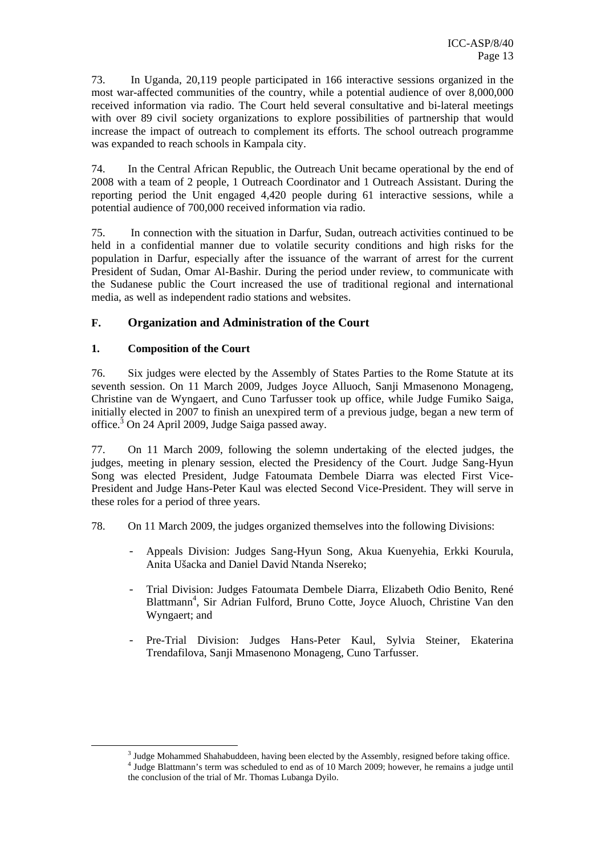73. In Uganda, 20,119 people participated in 166 interactive sessions organized in the most war-affected communities of the country, while a potential audience of over 8,000,000 received information via radio. The Court held several consultative and bi-lateral meetings with over 89 civil society organizations to explore possibilities of partnership that would increase the impact of outreach to complement its efforts. The school outreach programme was expanded to reach schools in Kampala city.

74. In the Central African Republic, the Outreach Unit became operational by the end of 2008 with a team of 2 people, 1 Outreach Coordinator and 1 Outreach Assistant. During the reporting period the Unit engaged 4,420 people during 61 interactive sessions, while a potential audience of 700,000 received information via radio.

75. In connection with the situation in Darfur, Sudan, outreach activities continued to be held in a confidential manner due to volatile security conditions and high risks for the population in Darfur, especially after the issuance of the warrant of arrest for the current President of Sudan, Omar Al-Bashir. During the period under review, to communicate with the Sudanese public the Court increased the use of traditional regional and international media, as well as independent radio stations and websites.

## **F. Organization and Administration of the Court**

## **1. Composition of the Court**

76. Six judges were elected by the Assembly of States Parties to the Rome Statute at its seventh session. On 11 March 2009, Judges Joyce Alluoch, Sanji Mmasenono Monageng, Christine van de Wyngaert, and Cuno Tarfusser took up office, while Judge Fumiko Saiga, initially elected in 2007 to finish an unexpired term of a previous judge, began a new term of office.<sup>3</sup> On 24 April 2009, Judge Saiga passed away.

77. On 11 March 2009, following the solemn undertaking of the elected judges, the judges, meeting in plenary session, elected the Presidency of the Court. Judge Sang-Hyun Song was elected President, Judge Fatoumata Dembele Diarra was elected First Vice-President and Judge Hans-Peter Kaul was elected Second Vice-President. They will serve in these roles for a period of three years.

- 78. On 11 March 2009, the judges organized themselves into the following Divisions:
	- Appeals Division: Judges Sang-Hyun Song, Akua Kuenyehia, Erkki Kourula, Anita Ušacka and Daniel David Ntanda Nsereko;
	- Trial Division: Judges Fatoumata Dembele Diarra, Elizabeth Odio Benito, René Blattmann<sup>4</sup>, Sir Adrian Fulford, Bruno Cotte, Joyce Aluoch, Christine Van den Wyngaert; and
	- Pre-Trial Division: Judges Hans-Peter Kaul, Sylvia Steiner, Ekaterina Trendafilova, Sanji Mmasenono Monageng, Cuno Tarfusser.

 $\frac{3 \text{ Iudco} \text{ Mohommed } \text{Shehebud}}{3 \text{ Iudco} \text{ Mohommed } \text{Shehebud}}}$ <sup>3</sup> Judge Mohammed Shahabuddeen, having been elected by the Assembly, resigned before taking office.  $\frac{4 \text{ Iudco}}{4 \text{ Iudco}}$  Plettmann's term was scheduled to and as of 10 March 2000; however, he remains a judge until <sup>4</sup> Judge Blattmann's term was scheduled to end as of 10 March 2009; however, he remains a judge until the conclusion of the trial of Mr. Thomas Lubanga Dyilo.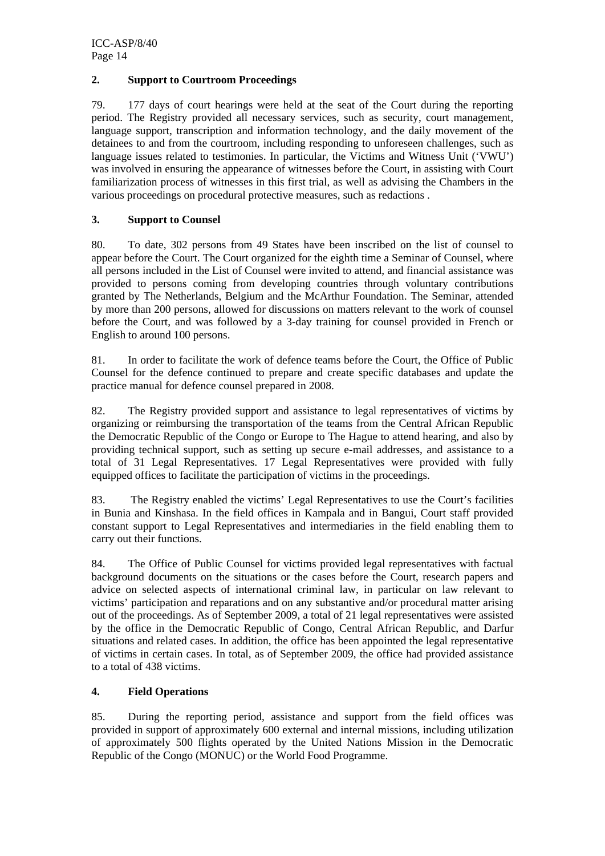#### **2. Support to Courtroom Proceedings**

79. 177 days of court hearings were held at the seat of the Court during the reporting period. The Registry provided all necessary services, such as security, court management, language support, transcription and information technology, and the daily movement of the detainees to and from the courtroom, including responding to unforeseen challenges, such as language issues related to testimonies. In particular, the Victims and Witness Unit ('VWU') was involved in ensuring the appearance of witnesses before the Court, in assisting with Court familiarization process of witnesses in this first trial, as well as advising the Chambers in the various proceedings on procedural protective measures, such as redactions .

#### **3. Support to Counsel**

80. To date, 302 persons from 49 States have been inscribed on the list of counsel to appear before the Court. The Court organized for the eighth time a Seminar of Counsel, where all persons included in the List of Counsel were invited to attend, and financial assistance was provided to persons coming from developing countries through voluntary contributions granted by The Netherlands, Belgium and the McArthur Foundation. The Seminar, attended by more than 200 persons, allowed for discussions on matters relevant to the work of counsel before the Court, and was followed by a 3-day training for counsel provided in French or English to around 100 persons.

81. In order to facilitate the work of defence teams before the Court, the Office of Public Counsel for the defence continued to prepare and create specific databases and update the practice manual for defence counsel prepared in 2008.

82. The Registry provided support and assistance to legal representatives of victims by organizing or reimbursing the transportation of the teams from the Central African Republic the Democratic Republic of the Congo or Europe to The Hague to attend hearing, and also by providing technical support, such as setting up secure e-mail addresses, and assistance to a total of 31 Legal Representatives. 17 Legal Representatives were provided with fully equipped offices to facilitate the participation of victims in the proceedings.

83. The Registry enabled the victims' Legal Representatives to use the Court's facilities in Bunia and Kinshasa. In the field offices in Kampala and in Bangui, Court staff provided constant support to Legal Representatives and intermediaries in the field enabling them to carry out their functions.

84. The Office of Public Counsel for victims provided legal representatives with factual background documents on the situations or the cases before the Court, research papers and advice on selected aspects of international criminal law, in particular on law relevant to victims' participation and reparations and on any substantive and/or procedural matter arising out of the proceedings. As of September 2009, a total of 21 legal representatives were assisted by the office in the Democratic Republic of Congo, Central African Republic, and Darfur situations and related cases. In addition, the office has been appointed the legal representative of victims in certain cases. In total, as of September 2009, the office had provided assistance to a total of 438 victims.

## **4. Field Operations**

85. During the reporting period, assistance and support from the field offices was provided in support of approximately 600 external and internal missions, including utilization of approximately 500 flights operated by the United Nations Mission in the Democratic Republic of the Congo (MONUC) or the World Food Programme.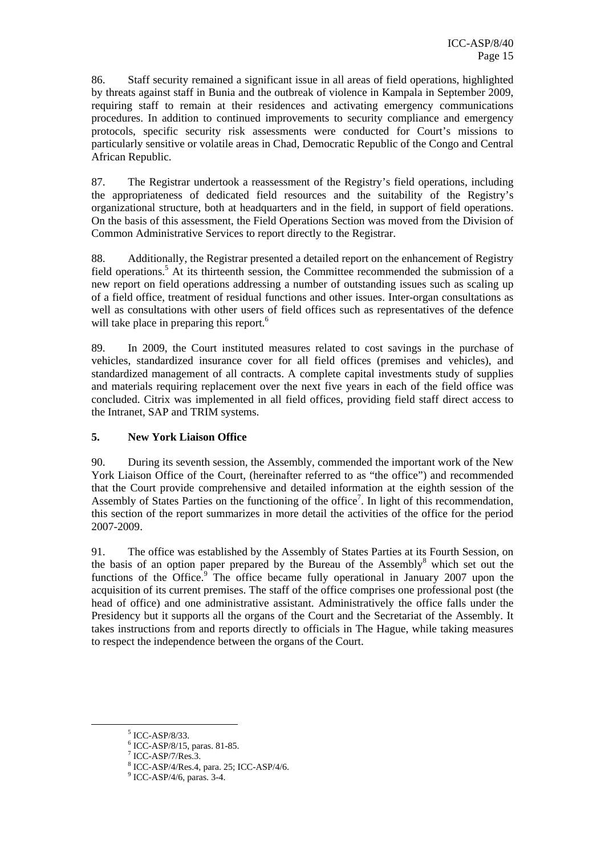86. Staff security remained a significant issue in all areas of field operations, highlighted by threats against staff in Bunia and the outbreak of violence in Kampala in September 2009, requiring staff to remain at their residences and activating emergency communications procedures. In addition to continued improvements to security compliance and emergency protocols, specific security risk assessments were conducted for Court's missions to particularly sensitive or volatile areas in Chad, Democratic Republic of the Congo and Central African Republic.

87. The Registrar undertook a reassessment of the Registry's field operations, including the appropriateness of dedicated field resources and the suitability of the Registry's organizational structure, both at headquarters and in the field, in support of field operations. On the basis of this assessment, the Field Operations Section was moved from the Division of Common Administrative Services to report directly to the Registrar.

88. Additionally, the Registrar presented a detailed report on the enhancement of Registry field operations.<sup>5</sup> At its thirteenth session, the Committee recommended the submission of a new report on field operations addressing a number of outstanding issues such as scaling up of a field office, treatment of residual functions and other issues. Inter-organ consultations as well as consultations with other users of field offices such as representatives of the defence will take place in preparing this report.<sup>6</sup>

89. In 2009, the Court instituted measures related to cost savings in the purchase of vehicles, standardized insurance cover for all field offices (premises and vehicles), and standardized management of all contracts. A complete capital investments study of supplies and materials requiring replacement over the next five years in each of the field office was concluded. Citrix was implemented in all field offices, providing field staff direct access to the Intranet, SAP and TRIM systems.

## **5. New York Liaison Office**

90. During its seventh session, the Assembly, commended the important work of the New York Liaison Office of the Court, (hereinafter referred to as "the office") and recommended that the Court provide comprehensive and detailed information at the eighth session of the Assembly of States Parties on the functioning of the office<sup>7</sup>. In light of this recommendation, this section of the report summarizes in more detail the activities of the office for the period 2007-2009.

91. The office was established by the Assembly of States Parties at its Fourth Session, on the basis of an option paper prepared by the Bureau of the Assembly $\delta$  which set out the functions of the Office.<sup>9</sup> The office became fully operational in January 2007 upon the acquisition of its current premises. The staff of the office comprises one professional post (the head of office) and one administrative assistant. Administratively the office falls under the Presidency but it supports all the organs of the Court and the Secretariat of the Assembly. It takes instructions from and reports directly to officials in The Hague, while taking measures to respect the independence between the organs of the Court.

<sup>&</sup>lt;sup>5</sup> ICC-ASP/8/33.

<sup>6</sup> ICC-ASP/8/15, paras. 81-85.

 $7$  ICC-ASP/7/Res.3.

<sup>8</sup> ICC-ASP/4/Res.4, para. 25; ICC-ASP/4/6.

<sup>9</sup> ICC-ASP/4/6, paras. 3-4.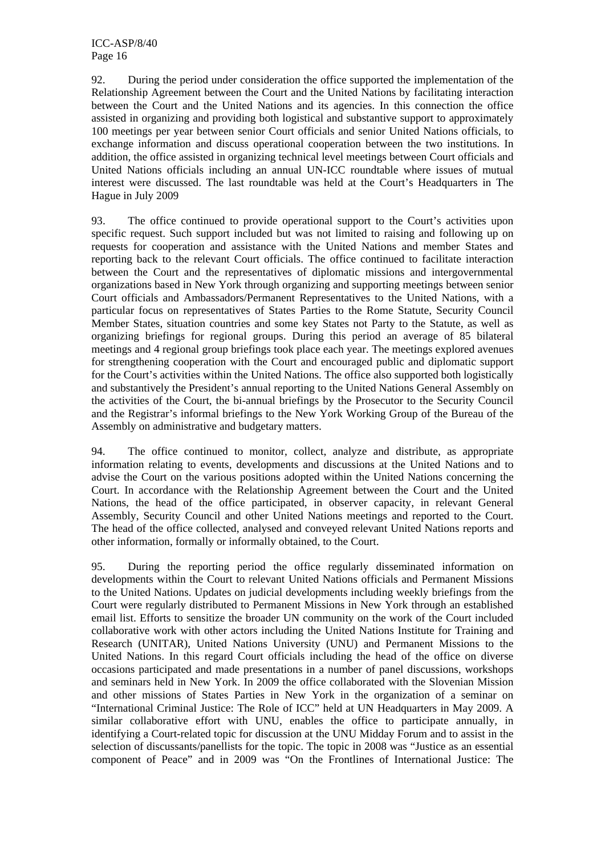92. During the period under consideration the office supported the implementation of the Relationship Agreement between the Court and the United Nations by facilitating interaction between the Court and the United Nations and its agencies. In this connection the office assisted in organizing and providing both logistical and substantive support to approximately 100 meetings per year between senior Court officials and senior United Nations officials, to exchange information and discuss operational cooperation between the two institutions. In addition, the office assisted in organizing technical level meetings between Court officials and United Nations officials including an annual UN-ICC roundtable where issues of mutual interest were discussed. The last roundtable was held at the Court's Headquarters in The Hague in July 2009

93. The office continued to provide operational support to the Court's activities upon specific request. Such support included but was not limited to raising and following up on requests for cooperation and assistance with the United Nations and member States and reporting back to the relevant Court officials. The office continued to facilitate interaction between the Court and the representatives of diplomatic missions and intergovernmental organizations based in New York through organizing and supporting meetings between senior Court officials and Ambassadors/Permanent Representatives to the United Nations, with a particular focus on representatives of States Parties to the Rome Statute, Security Council Member States, situation countries and some key States not Party to the Statute, as well as organizing briefings for regional groups. During this period an average of 85 bilateral meetings and 4 regional group briefings took place each year. The meetings explored avenues for strengthening cooperation with the Court and encouraged public and diplomatic support for the Court's activities within the United Nations. The office also supported both logistically and substantively the President's annual reporting to the United Nations General Assembly on the activities of the Court, the bi-annual briefings by the Prosecutor to the Security Council and the Registrar's informal briefings to the New York Working Group of the Bureau of the Assembly on administrative and budgetary matters.

94. The office continued to monitor, collect, analyze and distribute, as appropriate information relating to events, developments and discussions at the United Nations and to advise the Court on the various positions adopted within the United Nations concerning the Court. In accordance with the Relationship Agreement between the Court and the United Nations, the head of the office participated, in observer capacity, in relevant General Assembly, Security Council and other United Nations meetings and reported to the Court. The head of the office collected, analysed and conveyed relevant United Nations reports and other information, formally or informally obtained, to the Court.

95. During the reporting period the office regularly disseminated information on developments within the Court to relevant United Nations officials and Permanent Missions to the United Nations. Updates on judicial developments including weekly briefings from the Court were regularly distributed to Permanent Missions in New York through an established email list. Efforts to sensitize the broader UN community on the work of the Court included collaborative work with other actors including the United Nations Institute for Training and Research (UNITAR), United Nations University (UNU) and Permanent Missions to the United Nations. In this regard Court officials including the head of the office on diverse occasions participated and made presentations in a number of panel discussions, workshops and seminars held in New York. In 2009 the office collaborated with the Slovenian Mission and other missions of States Parties in New York in the organization of a seminar on "International Criminal Justice: The Role of ICC" held at UN Headquarters in May 2009. A similar collaborative effort with UNU, enables the office to participate annually, in identifying a Court-related topic for discussion at the UNU Midday Forum and to assist in the selection of discussants/panellists for the topic. The topic in 2008 was "Justice as an essential component of Peace" and in 2009 was "On the Frontlines of International Justice: The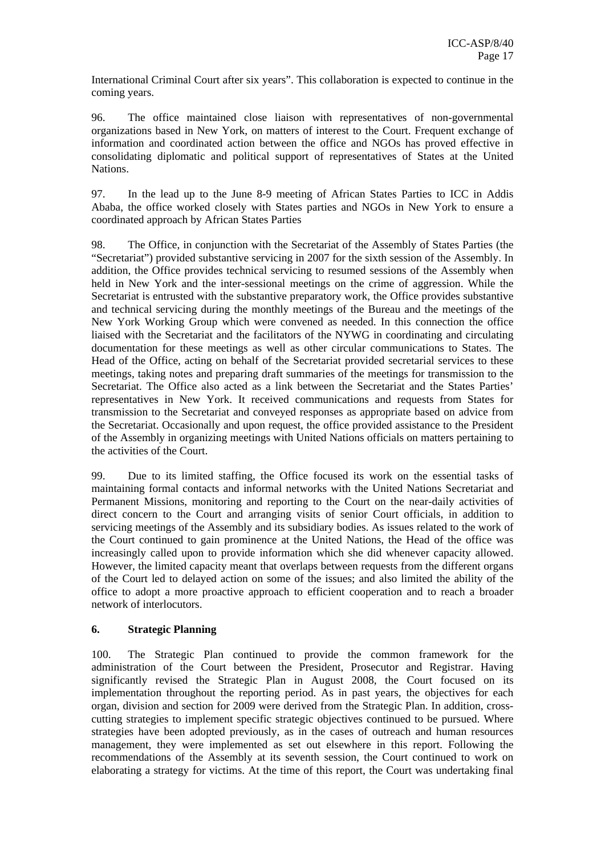International Criminal Court after six years". This collaboration is expected to continue in the coming years.

96. The office maintained close liaison with representatives of non-governmental organizations based in New York, on matters of interest to the Court. Frequent exchange of information and coordinated action between the office and NGOs has proved effective in consolidating diplomatic and political support of representatives of States at the United Nations.

97. In the lead up to the June 8-9 meeting of African States Parties to ICC in Addis Ababa, the office worked closely with States parties and NGOs in New York to ensure a coordinated approach by African States Parties

98. The Office, in conjunction with the Secretariat of the Assembly of States Parties (the "Secretariat") provided substantive servicing in 2007 for the sixth session of the Assembly. In addition, the Office provides technical servicing to resumed sessions of the Assembly when held in New York and the inter-sessional meetings on the crime of aggression. While the Secretariat is entrusted with the substantive preparatory work, the Office provides substantive and technical servicing during the monthly meetings of the Bureau and the meetings of the New York Working Group which were convened as needed. In this connection the office liaised with the Secretariat and the facilitators of the NYWG in coordinating and circulating documentation for these meetings as well as other circular communications to States. The Head of the Office, acting on behalf of the Secretariat provided secretarial services to these meetings, taking notes and preparing draft summaries of the meetings for transmission to the Secretariat. The Office also acted as a link between the Secretariat and the States Parties' representatives in New York. It received communications and requests from States for transmission to the Secretariat and conveyed responses as appropriate based on advice from the Secretariat. Occasionally and upon request, the office provided assistance to the President of the Assembly in organizing meetings with United Nations officials on matters pertaining to the activities of the Court.

99. Due to its limited staffing, the Office focused its work on the essential tasks of maintaining formal contacts and informal networks with the United Nations Secretariat and Permanent Missions, monitoring and reporting to the Court on the near-daily activities of direct concern to the Court and arranging visits of senior Court officials, in addition to servicing meetings of the Assembly and its subsidiary bodies. As issues related to the work of the Court continued to gain prominence at the United Nations, the Head of the office was increasingly called upon to provide information which she did whenever capacity allowed. However, the limited capacity meant that overlaps between requests from the different organs of the Court led to delayed action on some of the issues; and also limited the ability of the office to adopt a more proactive approach to efficient cooperation and to reach a broader network of interlocutors.

## **6. Strategic Planning**

100. The Strategic Plan continued to provide the common framework for the administration of the Court between the President, Prosecutor and Registrar. Having significantly revised the Strategic Plan in August 2008, the Court focused on its implementation throughout the reporting period. As in past years, the objectives for each organ, division and section for 2009 were derived from the Strategic Plan. In addition, crosscutting strategies to implement specific strategic objectives continued to be pursued. Where strategies have been adopted previously, as in the cases of outreach and human resources management, they were implemented as set out elsewhere in this report. Following the recommendations of the Assembly at its seventh session, the Court continued to work on elaborating a strategy for victims. At the time of this report, the Court was undertaking final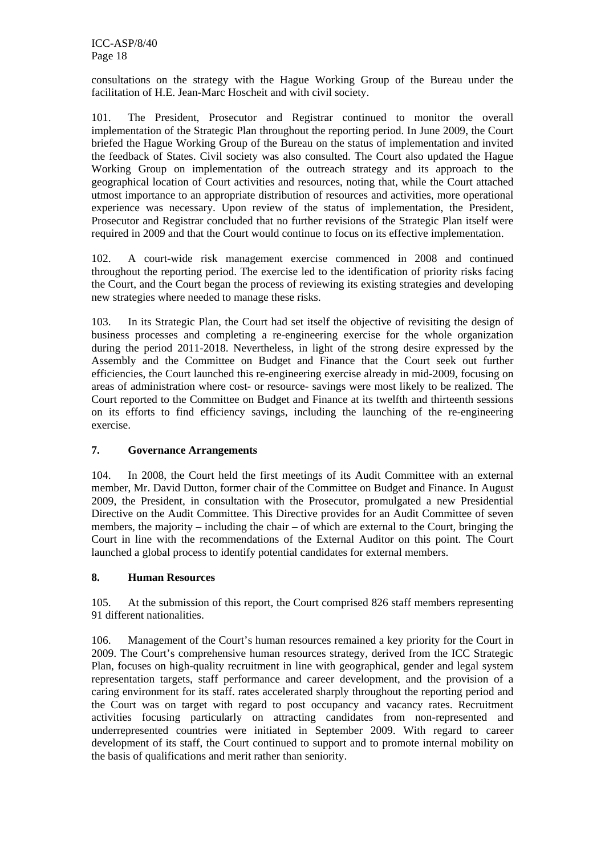consultations on the strategy with the Hague Working Group of the Bureau under the facilitation of H.E. Jean-Marc Hoscheit and with civil society.

101. The President, Prosecutor and Registrar continued to monitor the overall implementation of the Strategic Plan throughout the reporting period. In June 2009, the Court briefed the Hague Working Group of the Bureau on the status of implementation and invited the feedback of States. Civil society was also consulted. The Court also updated the Hague Working Group on implementation of the outreach strategy and its approach to the geographical location of Court activities and resources, noting that, while the Court attached utmost importance to an appropriate distribution of resources and activities, more operational experience was necessary. Upon review of the status of implementation, the President, Prosecutor and Registrar concluded that no further revisions of the Strategic Plan itself were required in 2009 and that the Court would continue to focus on its effective implementation.

102. A court-wide risk management exercise commenced in 2008 and continued throughout the reporting period. The exercise led to the identification of priority risks facing the Court, and the Court began the process of reviewing its existing strategies and developing new strategies where needed to manage these risks.

103. In its Strategic Plan, the Court had set itself the objective of revisiting the design of business processes and completing a re-engineering exercise for the whole organization during the period 2011-2018. Nevertheless, in light of the strong desire expressed by the Assembly and the Committee on Budget and Finance that the Court seek out further efficiencies, the Court launched this re-engineering exercise already in mid-2009, focusing on areas of administration where cost- or resource- savings were most likely to be realized. The Court reported to the Committee on Budget and Finance at its twelfth and thirteenth sessions on its efforts to find efficiency savings, including the launching of the re-engineering exercise.

## **7. Governance Arrangements**

104. In 2008, the Court held the first meetings of its Audit Committee with an external member, Mr. David Dutton, former chair of the Committee on Budget and Finance. In August 2009, the President, in consultation with the Prosecutor, promulgated a new Presidential Directive on the Audit Committee. This Directive provides for an Audit Committee of seven members, the majority – including the chair – of which are external to the Court, bringing the Court in line with the recommendations of the External Auditor on this point. The Court launched a global process to identify potential candidates for external members.

## **8. Human Resources**

105. At the submission of this report, the Court comprised 826 staff members representing 91 different nationalities.

106. Management of the Court's human resources remained a key priority for the Court in 2009. The Court's comprehensive human resources strategy, derived from the ICC Strategic Plan, focuses on high-quality recruitment in line with geographical, gender and legal system representation targets, staff performance and career development, and the provision of a caring environment for its staff. rates accelerated sharply throughout the reporting period and the Court was on target with regard to post occupancy and vacancy rates. Recruitment activities focusing particularly on attracting candidates from non-represented and underrepresented countries were initiated in September 2009. With regard to career development of its staff, the Court continued to support and to promote internal mobility on the basis of qualifications and merit rather than seniority.